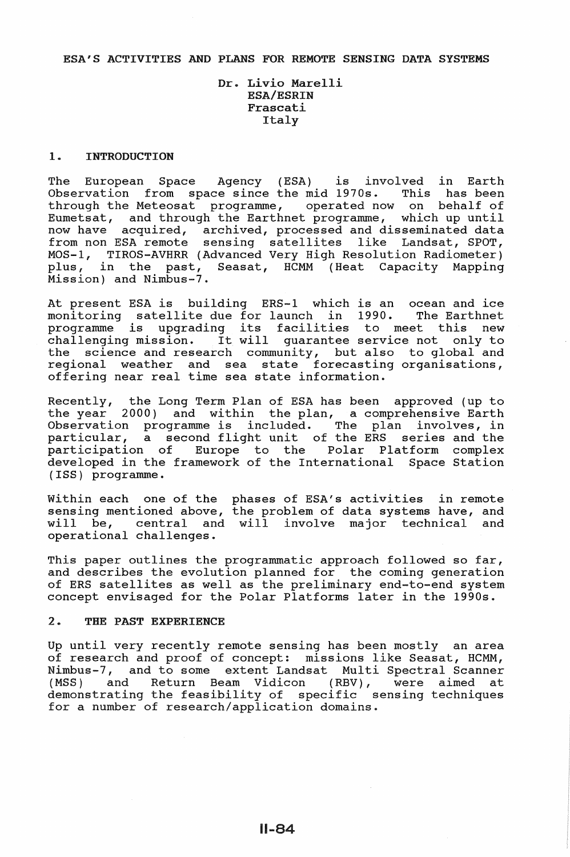## ESA'S ACTIVITIES AND PLANS FOR REMOTE SENSING DATA SYSTEMS

# Dr. Livio Marelli ESA/ESRIN Frascati Italy

### 1. INTRODUCTION

The European Space Agency (ESA) is involved in Earth Observation from space since the mid  $1970s$ . This has been through the Meteosat programme, operated now on behalf of Eumetsat, and through the Earthnet programme, which up until now have acquired, archived, processed and disseminated data from non ESA remote sensing satellites like Landsat, SPOT, MOS-1, TIROS-AVHRR (Advanced Very High Resolution Radiometer)<br>plus, in the past, Seasat, HCMM (Heat Capacity Mapping in the past, Seasat, HCMM (Heat Capacity Mission) and Nimbus-7.

At present ESA is building ERS-1 which is an ocean and ice<br>monitoring satellite due for launch in 1990. The Earthnet monitoring satellite due for launch in 1990. The Earthnet monitoring satellite due for faunch in 1990. The Earthmet<br>programme is upgrading its facilities to meet this new programme is upgrading its facilities to meet this new<br>challenging mission. It will quarantee service not only to the science and research community, but also to global and regional weather and sea state forecasting organisations, offering near real time sea state information.

Recently, the Long Term Plan of ESA has been approved (up to the year 2000) and within the plan, a comprehensive Earth Observation programme is included. The plan involves, in particular, a second flight unit of the ERS series and the participation of Europe to the Polar Platform complex developed in the framework of the International Space Station (ISS) programme.

Within each one of the phases of ESA's activities in remote sensing mentioned above, the problem of data systems have, and will be, central and will involve major technical and operational challenges.

This paper outlines the programmatic approach followed so far, and describes the evolution planned for the coming generation of ERS satellites as well as the preliminary end-to-end system concept envisaged for the Polar Platforms later in the 1990s.

# 2. THE PAST EXPERIENCE

Up until very recently remote sensing has been mostly an area of research and proof of concept: missions like Seasat, HCMM, Nimbus-7, and to some extent Landsat Multi Spectral Scanner<br>(MSS) and Return Beam Vidicon (RBV), were aimed at Return Beam Vidicon (RBV), were aimed at demonstrating the feasibility of specific sensing techniques for a number of research/application domains.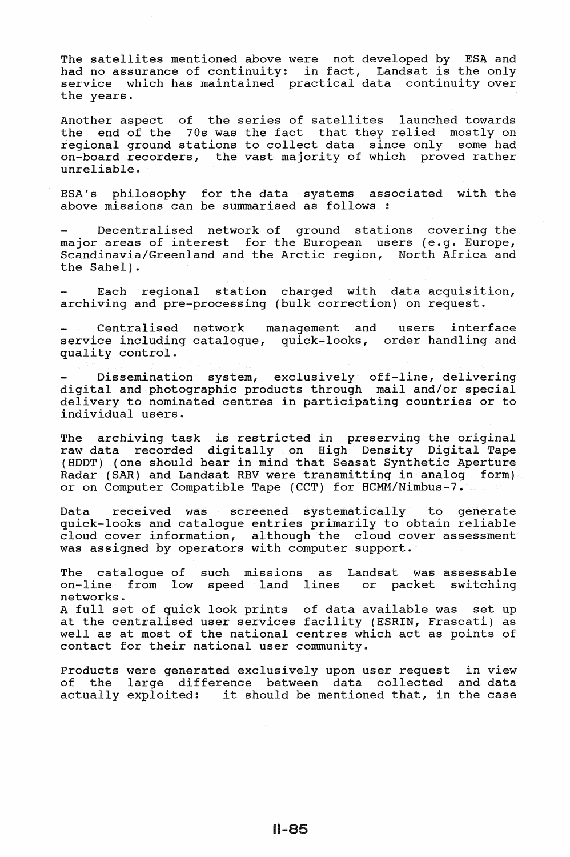The satellites mentioned above were not developed by ESA and had no assurance of continuity: in fact, Landsat is the only service which has maintained practical data continuity over the years.

Another aspect of the series of satellites launched towards<br>the end of the 70s was the fact that they relied mostly on end of the 70s was the fact that they relied mostly on regional ground stations to collect data since only some had on-board recorders, the vast majority of which proved rather unreliable.

ESA's philosophy for the data systems associated with the above missions can be summarised as follows :

Decentralised network of ground stations covering the major areas of interest for the European users (e.g. Europe, Scandinavia/Greenland and the Arctic region, North Africa and the Sahel).

Each regional station charged with data acquisition, archiving and pre-processing (bulk correction) on request.

Centralised network management and service including catalogue, quick-looks, order handling and quality control. interface

Dissemination system, exclusively off-line, delivering digital and photographic products through mail and/or special delivery to nominated centres in participating countries or to individual users.

The archiving task is restricted in preserving the original raw data recorded digitally on High Density Digital Tape (HDDT) (one should bear in mind that Seasat Synthetic Aperture Radar (SAR) and Landsat RBV were transmitting in analog form) or on Computer Compatible Tape (CCT) for HCMM/Nimbus-7.

Data received was screened systematically to generate quick-looks and catalogue entries primarily to obtain reliable cloud cover information, although the cloud cover assessment was assigned by operators with computer support.

The catalogue of such missions as Landsat was assessable<br>on-line from low speed land lines or packet switching from low speed land lines networks. A full set of quick look prints of data available was set up at the centralised user services facility (ESRIN, Frascati) as well as at most of the national centres which act as points of contact for their national user community.

Products were generated exclusively upon user request in view of the large difference between data collected and data<br>actually exploited: it should be mentioned that, in the case it should be mentioned that, in the case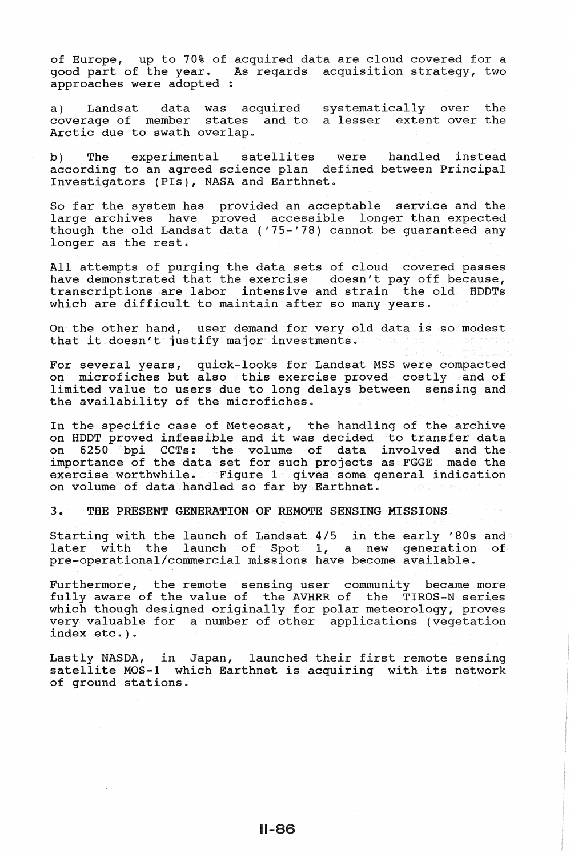of Europe, up to 70% of acquired data are cloud covered for a<br>good part of the year. As regards acquisition strategy, two As regards acquisition strategy, two approaches were adopted :

a) Landsat data was acquired coverage of member states and to Arctic due to swath overlap. systematically over the a lesser extent over the

b) The experimental satellites were handled instead according to an agreed science plan defined between Principal Investigators (PIs), NASA and Earthnet.

So far the system has provided an acceptable service and the large archives have proved accessible longer than expected though the old Landsat data ('75-'78) cannot be guaranteed any longer as the rest.

All attempts of purging the data sets of cloud covered passes have demonstrated that the exercise doesn't pay off because, transcriptions are labor intensive and strain the old HOOTs which are difficult to maintain after so many years.

On the other hand, user demand for very old data is so modest that it doesn't justify major investments.

For several years, quick-looks for Landsat MSS were compacted on microfiches but also this exercise proved costly and of limited value to users due to long delays between sensing and the availability of the microfiches.

In the specific case of Meteosat, the handling of the archive on HOOT proved infeasible and it was decided to transfer data on 6250 bpi CCTs: the volume of data involved and the importance of the data set for such projects as FGGE made the exercise worthwhile. Figure 1 gives some general indication on volume of data handled so far by Earthnet.

3. THE PRESENT GENERATION OF REMOTE SENSING MISSIONS

Starting with the launch of Landsat 4/5 in the early '80s and later with the launch of Spot 1, a new generation of pre-operational/commercial missions have become available.

Furthermore, the remote sensing user community became more fully aware of the value of the AVHRR of the TIROS-N series which though designed originally for polar meteorology, proves very valuable for a number of other applications (vegetation index etc.).

Lastly NASOA, in Japan, launched their first remote sensing satellite MOS-1 which Earthnet is acquiring with its network of ground stations.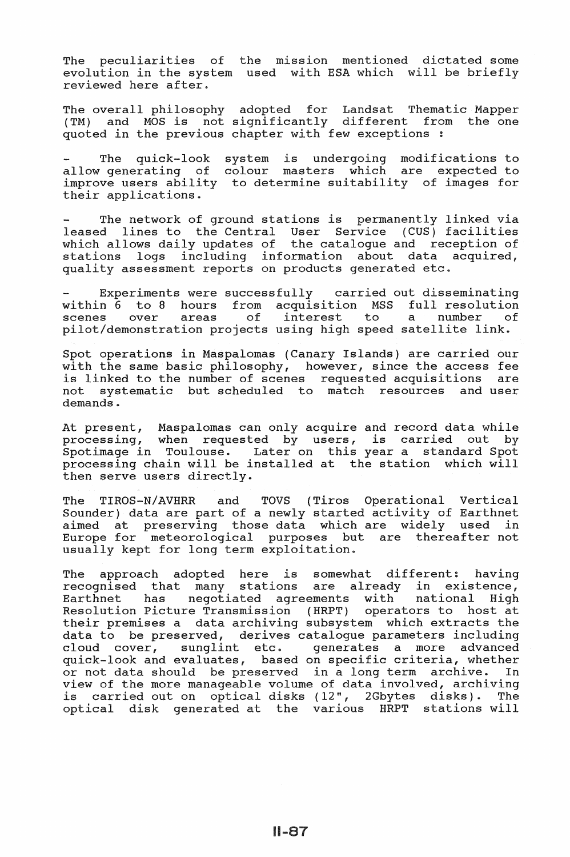The peculiarities of the mission mentioned dictated some evolution in the system used with ESA which will be briefly reviewed here after.

The overall philosophy adopted for Landsat Thematic Mapper (TM) and MOS is not significantly different from the one quoted in the previous chapter with few exceptions :

The quick-look system is undergoing modifications to allow generating of colour masters which are expected to improve users ability to determine suitability of images for their applications.

The network of ground stations is permanently linked via leased lines to the Central User Service (CUS) facilities which allows daily updates of the catalogue and reception of stations logs including information about data acquired, pedefond togs including information dicts data .

Experiments were successfully carried out disseminating within 6 to 8 hours from acquisition MSS full resolution scenes over areas of interest to a number of scenes over areas of interest to a number of<br>pilot/demonstration projects using high speed satellite link.

Spot operations in Maspalomas (Canary Islands) are carried our with the same basic philosophy, however, since the access fee<br>is linked to the number of scenes, requested acquisitions, are is linked to the number of scenes requested acquisitions not systematic but scheduled to match resources and user demands.

At present, Maspalomas can only acquire and record data while processing, when requested by users, is carried out by  $S$ processing, when requested  $z_j$  decre, is called  $z_j$ . processing chain will be installed at the station which will then serve users directly.

The TIROS-N/AVHRR and TOVS (Tiros Operational Vertical Sounder) data are part of a newly started activity of Earthnet aimed at preserving those data which are widely used in Europe for meteorological purposes but are thereafter not usually kept for long term exploitation.

The approach adopted here is somewhat different: having recognised that many stations are already in existence, Earthnet has negotiated agreements with national High Resolution Picture Transmission (HRPT) operators to host at their premises a data archiving subsystem which extracts the data to be preserved, derives catalogue parameters including<br>cloud cover, sunglint etc. qenerates a more advanced sunglint etc. generates a more advanced quick-look and evaluates, based on specific criteria, whether or not data should be preserved in a long term archive. view of the more manageable volume of data involved, archiving is carried out on optical disks (12", 2Gbytes disks). The optical disk generated at the various HRPT stations will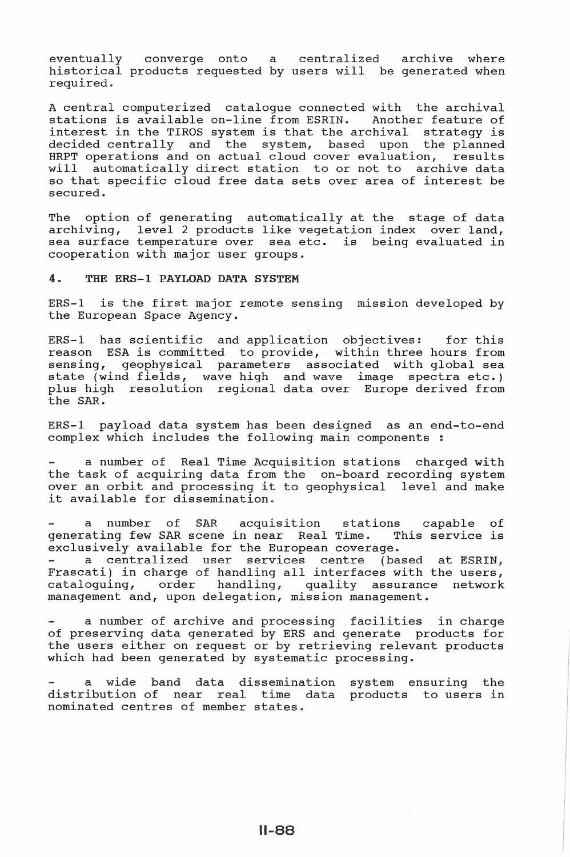eventually converge onto a centralized archive where historical products requested by users will be generated when required.

A central computerized catalogue connected with the archival stations is available on-line from ESRIN. Another feature of interest in the TIROS system is that the archival strategy is decided centrally and the system, based upon the planned HRPT operations and on actual cloud cover evaluation, results will automatically direct station to or not to archive data so that specific cloud free data sets over area of interest be secured.

The option of generating automatically at the stage of data archiving, level 2 products like vegetation index over land, sea surface temperature over sea etc. is being evaluated in cooperation with major user groups.

#### 4. THE ERS-1 PAYLOAD DATA SYSTEM

ERS-1 is the first major remote sensing mission developed by the European Space Agency.

ERS-1 has scientific and application objectives: for this reason ESA is committed to provide, within three hours from sensing, geophysical parameters associated with global sea state (wind fields, wave high and wave image spectra etc.) plus high resolution regional data over Europe derived from the SAR.

ERS-1 payload data system has been designed as an end-to-end complex which includes the following main components :

a number of Real Time Acquisition stations charged with the task of acquiring data from the on-board recording system over an orbit and processing it to geophysical level and make it available for dissemination.

number of SAR acquisition stations capable of generating few SAR scene in near Real Time. This service is exclusively available for the European coverage.

a centralized user services centre (based at ESRIN, Frascati) in charge of handling all interfaces with the users,<br>cataloguing, order handling, quality assurance network handling, quality assurance network management and, upon delegation, mission management.

a number of archive and processing facilities in charge of preserving data generated by ERS and generate products for of preserving data generated by mho and generate preducts for the users either on request or by retrieving relevant products which had been generated by systematic processing.

a wide band data dissemination distribution of near real time data products to users in nominated centres of member states. system ensuring the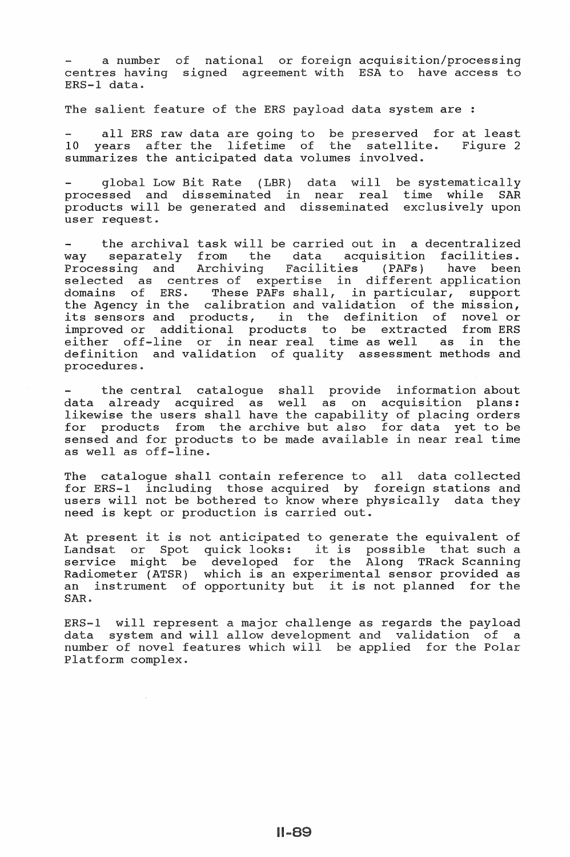a number of national or foreign acquisition/processing centres having signed agreement with ESA to have access to  $ERS-1$  data.

The salient feature of the ERS payload data system are :

all ERS raw data are going to be preserved for at least 10 years after the lifetime of the satellite. Figure 2 summarizes the anticipated data volumes involved.

global Low Bit Rate (LBR) data will be systematical processed and disseminated in near real time while SAR processed and disseminated and disseminated exclusively upon user request.

the archival task will be carried out in a decentralized way separately from the data acquisition facilities. Processing and Archiving Facilities (PAFs) have been Processing and Archiving Facilities (PAFs) have been<br>selected as centres of expertise in different application domains of ERS. These PAFs shall, in particular, support the Agency in the calibration and validation of the mission, its sensors and products, the definition of novel or improved or additional products to be extracted from ERS either off-line or near real time as well as in the definition and validation of quality assessment methods and procedures.

the central catalogue shall provide information about data already acquired as well as on acquisition plans: likewise the users shall have the capability of placing orders for products from the archive but also for data yet to be sensed and for products to be made available in near real time as well as

The catalogue shall contain reference to all data collected for ERS-1 including those acquired by foreign stations and users will not be bothered to know where physically data they need is kept or production is carried out.

At present it is not anticipated to generate the equivalent of he present it is not antierpated to generate the equivarent or<br>Landsat or Spot quick looks: it is possible that such a service might developed the Along TRack Scanning scrvice might be deveroped for the filong frack beaming an instrument of opportunity but it is not planned for the SAR.

ERS-1 will represent a major challenge as regards the payload data system and will allow development and validation of a number of novel features which will be applied for the Polar Platform complex.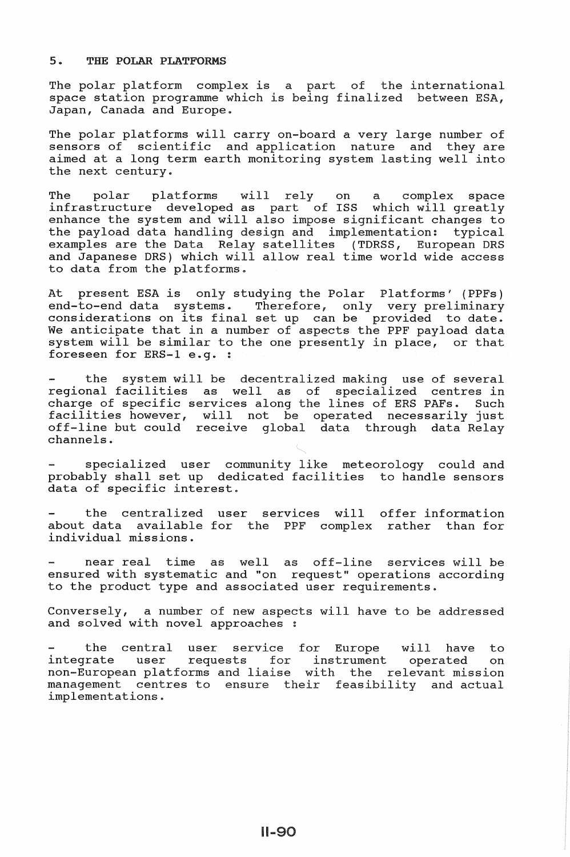## 5. THE POLAR PLATFORMS

The polar platform complex is a part of the international space station programme which being finalized between ESA, Japan, Canada and Europe.

The polar platforms will carry on-board a very large number of sensors of scientific and application nature and they are aimed at a long term earth monitoring system lasting well into the next century.

The polar platforms will rely on a complex space infrastructure developed as part of ISS which will greatly enhance the system and will also impose significant changes to the payload data handling design and implementation: typical examples are the Data Relay satellites (TDRSS, European DRS and Japanese DRS) which will allow real time world wide access to data from the platforms.

At present ESA is only studying the Polar Platforms' (PPFs) end-to-end data systems. Therefore, only very preliminary considerations on its final set up can be provided to date. We anticipate that in a number of aspects the PPF payload data system will be similar to the one presently in place, or that foreseen for ERS-1 e.g. :

the system will be decentralized making use of several regional facilities as well as of specialized centres in charge of specific services along the lines of ERS PAFs. Such operated necessarily just data through data Relay enarge or specific services arong that the facilities however, will not be off-line but could receive global channels.

specialized user community like meteorology could and probably shall set up dedicated facilities to handle sensors data of specific interest.

the centralized user services will offer information about data available for the PPF complex rather than for individual missions.

near real time as well as off-line services will be ensured with systematic and "on request" operations according to the product type and associated user requirements.

Conversely, a number of new aspects will have to be addressed and solved with novel approaches

the central user service for Europe will have to integrate user requests for instrument operated on non-European platforms and liaise with the relevant mission management centres to ensure their feasibility and actual implementations.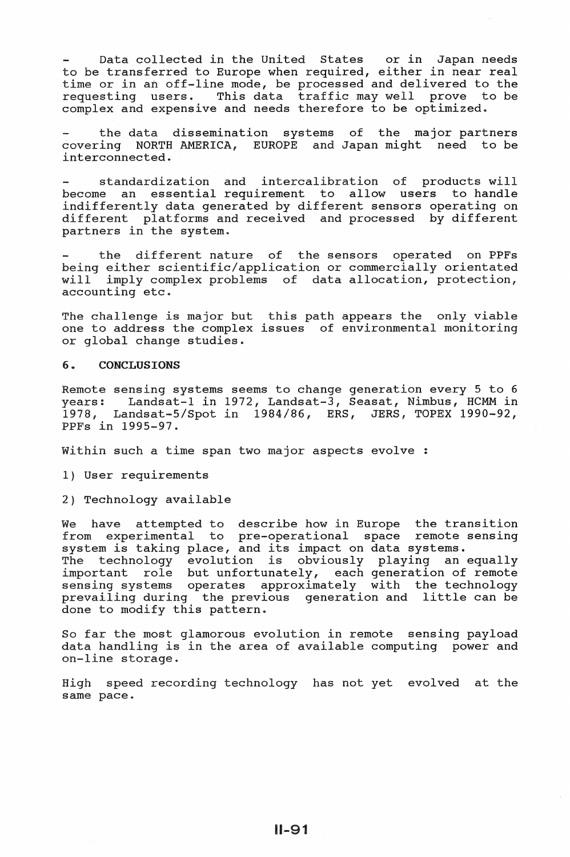Data collected in the United States or in Japan needs to be transferred to Europe when required, either in near real time or in an off-line mode, be processed and delivered to the requesting users. This data traffic may well prove to be complex and expensive and needs therefore to be optimized.

the data dissemination systems of the major partners covering NORTH AMERICA, EUROPE and Japan might need to be interconnected ..

standardization and intercalibration of products will become an essential requirement to allow users to handle indifferently data generated by different sensors operating on different platforms and received and processed by different partners in the system.

the different nature of the sensors operated on PPFs being either scientific/application or commercially orientated will imply complex problems of data allocation, protection, accounting etc ..

The challenge is major but this path appears the only viable one to address the complex issues of environmental monitoring or global change studies.

#### 6 .. CONCLUSIONS

Remote sensing systems seems to change generation every 5 to 6 years: Landsat-1 in 1972, Landsat-3, Seasat, Nimbus, HCMM in 1978, Landsat-5/Spot in 1984/86, ERS, JERS, TOPEX 1990-92, PPFs in 1995-97 ..

Within such a time span two major aspects evolve :

1) User requirements

2) Technology available

We have attempted to describe how in Europe the transition from experimental to pre-operational space remote sensing system is taking place, and its impact on data systems .. System is caning prace, and its impact on data systems.<br>The technology evolution is obviously playing an equally important role but unfortunately, each generation of remote sensing systems operates approximately with the technology prevailing during the previous generation and little can be done to modify this pattern.

So far the most glamorous evolution in remote sensing payload data handling is in the area of available computing power and on-line storage ..

High speed recording technology has not yet evolved at the same pace.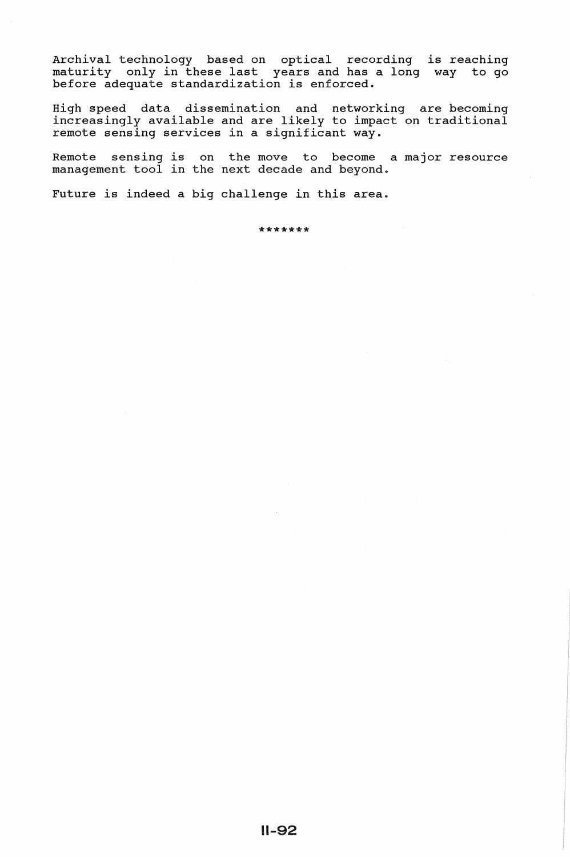Archival technology based on optical recording is reaching maturity only in these last years and has a long way to go before adequate standardization is enforced.

High speed data dissemination and networking are becoming increasingly available and are likely to impact on traditional remote sensing services in a significant way.

Remote sensing is on the move to become a major resource management tool in the next decade and beyond.

Future is indeed a big challenge in this area.

\*\*\*\*\*\*\*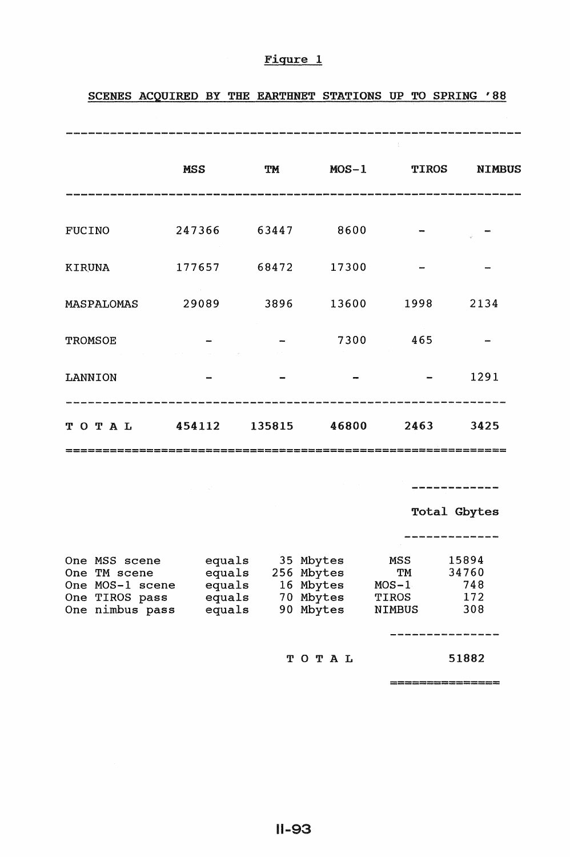|                | <b>MSS</b> | TM           | $MOS-1$ | $\frac{1}{4}$<br><b>TIROS</b> | <b>NIMBUS</b> |
|----------------|------------|--------------|---------|-------------------------------|---------------|
| <b>FUCINO</b>  | 247366     | 63447        | 8600    |                               |               |
| <b>KIRUNA</b>  | 177657     | 68472        | 17300   |                               |               |
| MASPALOMAS     | 29089      | 3896         | 13600   | 1998                          | 2134          |
| <b>TROMSOE</b> |            |              | 7300    | 465                           |               |
| <b>LANNION</b> |            |              |         |                               | 1291          |
| TOTAL          | 454112     | 135815 46800 |         | 2463                          | 3425          |
|                |            |              |         |                               |               |

# Figure 1

# SCENES ACQUIRED BY THE EARTHNET STATIONS UP TO SPRING '88

Total Gbytes

| One MSS scene<br>One TM scene<br>One MOS-1 scene<br>One TIROS pass<br>One nimbus pass | equals<br>equals<br>equals<br>equals<br>equals | 35 Mbytes<br>256 Mbytes<br>16 Mbytes<br>70 Mbytes<br>90 Mbytes | MSS<br>TM<br>$MOS-1$<br>TIROS<br><b>NIMBUS</b> | 15894<br>34760<br>748<br>172<br>308 |
|---------------------------------------------------------------------------------------|------------------------------------------------|----------------------------------------------------------------|------------------------------------------------|-------------------------------------|
|                                                                                       |                                                |                                                                |                                                |                                     |
|                                                                                       |                                                | TOTAL                                                          |                                                | 51882                               |

===============